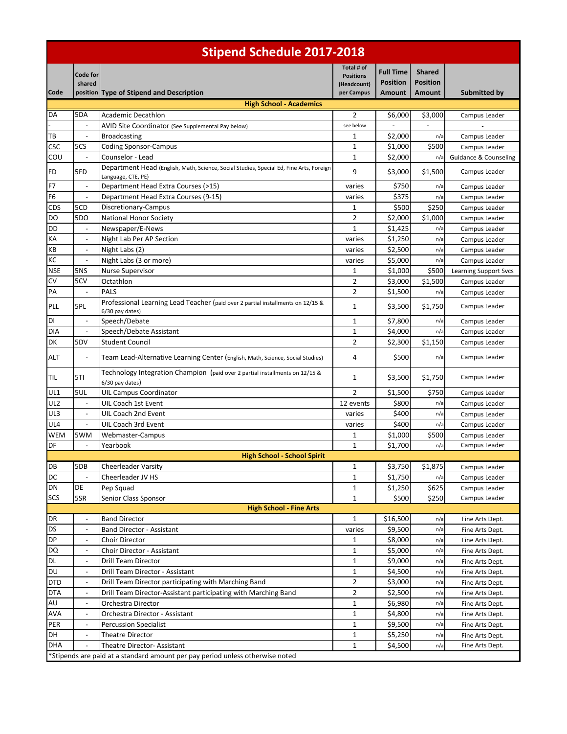| <b>Stipend Schedule 2017-2018</b> |                           |                                                                                                               |                                                             |                                                      |                                                   |                              |
|-----------------------------------|---------------------------|---------------------------------------------------------------------------------------------------------------|-------------------------------------------------------------|------------------------------------------------------|---------------------------------------------------|------------------------------|
| Code                              | <b>Code for</b><br>shared | position Type of Stipend and Description                                                                      | Total # of<br><b>Positions</b><br>(Headcount)<br>per Campus | <b>Full Time</b><br><b>Position</b><br><b>Amount</b> | <b>Shared</b><br><b>Position</b><br><b>Amount</b> | Submitted by                 |
|                                   |                           | <b>High School - Academics</b>                                                                                |                                                             |                                                      |                                                   |                              |
| DA                                | 5DA                       | Academic Decathlon                                                                                            | 2                                                           | \$6,000                                              | \$3,000                                           | Campus Leader                |
|                                   |                           | AVID Site Coordinator (See Supplemental Pay below)                                                            | see below                                                   |                                                      | $\overline{\phantom{a}}$                          |                              |
| TВ                                | $\overline{a}$            | <b>Broadcasting</b>                                                                                           | 1                                                           | \$2,000                                              | n/a                                               | Campus Leader                |
| CSC                               | 5CS                       | <b>Coding Sponsor-Campus</b>                                                                                  | $\mathbf{1}$                                                | \$1,000                                              | \$500                                             | Campus Leader                |
| cou                               |                           | Counselor - Lead                                                                                              | $\mathbf{1}$                                                | \$2,000                                              | n/a                                               | Guidance & Counseling        |
| FD                                | 5FD                       | Department Head (English, Math, Science, Social Studies, Special Ed, Fine Arts, Foreign<br>Language, CTE, PE) | 9                                                           | \$3,000                                              | \$1,500                                           | Campus Leader                |
| F7                                | $\overline{\phantom{a}}$  | Department Head Extra Courses (>15)                                                                           | varies                                                      | \$750                                                | n/a                                               | Campus Leader                |
| F6                                |                           | Department Head Extra Courses (9-15)                                                                          | varies                                                      | \$375                                                | n/a                                               | Campus Leader                |
| CDS                               | 5CD                       | Discretionary-Campus                                                                                          | 1                                                           | \$500                                                | \$250                                             | Campus Leader                |
| DO                                | <b>5DO</b>                | <b>National Honor Society</b>                                                                                 | $\overline{2}$                                              | \$2,000                                              | \$1,000                                           | Campus Leader                |
| DD                                | $\overline{\phantom{a}}$  | Newspaper/E-News                                                                                              | $\mathbf{1}$                                                | \$1,425                                              | n/a                                               | Campus Leader                |
| KA                                |                           | Night Lab Per AP Section                                                                                      | varies                                                      | \$1,250                                              | n/a                                               | Campus Leader                |
| КB                                |                           | Night Labs (2)                                                                                                | varies                                                      | \$2,500                                              | n/a                                               | Campus Leader                |
| KC                                | $\overline{a}$            | Night Labs (3 or more)                                                                                        | varies                                                      | \$5,000                                              | n/a                                               | Campus Leader                |
| <b>NSE</b>                        | 5NS                       | Nurse Supervisor                                                                                              | 1                                                           | \$1,000                                              | \$500                                             | <b>Learning Support Svcs</b> |
| c٧                                | 5CV                       | Octathlon                                                                                                     | 2                                                           | \$3,000                                              | \$1,500                                           | Campus Leader                |
| PA                                |                           | <b>PALS</b>                                                                                                   | 2                                                           | \$1,500                                              | n/a                                               | Campus Leader                |
| PLL                               | 5PL                       | Professional Learning Lead Teacher (paid over 2 partial installments on 12/15 &<br>6/30 pay dates)            | 1                                                           | \$3,500                                              | \$1,750                                           | Campus Leader                |
| DI                                | $\overline{\phantom{a}}$  | Speech/Debate                                                                                                 | 1                                                           | \$7,800                                              | n/a                                               | Campus Leader                |
| DIA                               | $\overline{a}$            | Speech/Debate Assistant                                                                                       | 1                                                           | \$4,000                                              | n/a                                               | Campus Leader                |
| DK                                | 5DV                       | <b>Student Council</b>                                                                                        | 2                                                           | \$2,300                                              | \$1,150                                           | Campus Leader                |
| ALT                               |                           | Team Lead-Alternative Learning Center (English, Math, Science, Social Studies)                                | 4                                                           | \$500                                                | n/a                                               | Campus Leader                |
| <b>TIL</b>                        | 5TI                       | Technology Integration Champion (paid over 2 partial installments on 12/15 &<br>6/30 pay dates)               | 1                                                           | \$3,500                                              | \$1,750                                           | Campus Leader                |
| UL1                               | 5UL                       | <b>UIL Campus Coordinator</b>                                                                                 | $\overline{2}$                                              | \$1,500                                              | \$750                                             | Campus Leader                |
| UL <sub>2</sub>                   | $\overline{\phantom{a}}$  | UIL Coach 1st Event                                                                                           | 12 events                                                   | \$800                                                | n/a                                               | Campus Leader                |
| UL3                               |                           | UIL Coach 2nd Event                                                                                           | varies                                                      | \$400                                                | n/a                                               | Campus Leader                |
| UL4                               | $\overline{a}$            | UIL Coach 3rd Event                                                                                           | varies                                                      | \$400                                                | n/a                                               | Campus Leader                |
| <b>WEM</b>                        | 5WM                       | Webmaster-Campus                                                                                              | 1                                                           | \$1,000                                              | \$500                                             | Campus Leader                |
| DF                                |                           | Yearbook                                                                                                      | $\mathbf{1}$                                                | \$1,700                                              | n/a                                               | Campus Leader                |
|                                   |                           | <b>High School - School Spirit</b>                                                                            |                                                             |                                                      |                                                   |                              |
| DB                                | 5DB                       | Cheerleader Varsity                                                                                           | 1                                                           | \$3,750                                              | \$1,875                                           | Campus Leader                |
| DC                                | $\overline{a}$            | Cheerleader JV HS                                                                                             | $\mathbf{1}$                                                | \$1,750                                              | n/a                                               | Campus Leader                |
| DN                                | DE                        | Pep Squad                                                                                                     | 1                                                           | \$1,250                                              | \$625                                             | Campus Leader                |
| <b>SCS</b>                        | 5SR                       | Senior Class Sponsor                                                                                          | $\mathbf{1}$                                                | \$500                                                | \$250                                             | Campus Leader                |
|                                   |                           | <b>High School - Fine Arts</b>                                                                                |                                                             |                                                      |                                                   |                              |
| DR                                |                           | <b>Band Director</b>                                                                                          | 1                                                           | \$16,500                                             | n/a                                               | Fine Arts Dept.              |
| DS                                | $\overline{\phantom{a}}$  | <b>Band Director - Assistant</b>                                                                              | varies                                                      | \$9,500                                              | n/a                                               | Fine Arts Dept.              |
| DP                                | $\overline{\phantom{a}}$  | Choir Director                                                                                                | 1                                                           | \$8,000                                              | n/a                                               | Fine Arts Dept.              |
| DQ                                | $\overline{\phantom{a}}$  | Choir Director - Assistant                                                                                    | 1                                                           | \$5,000                                              | n/a                                               | Fine Arts Dept.              |
| <b>DL</b>                         | $\overline{\phantom{a}}$  | Drill Team Director                                                                                           | $\mathbf{1}$                                                | \$9,000                                              | n/a                                               | Fine Arts Dept.              |
| <b>DU</b>                         | $\overline{\phantom{a}}$  | Drill Team Director - Assistant                                                                               | 1                                                           | \$4,500                                              | n/a                                               | Fine Arts Dept.              |
| <b>DTD</b>                        | $\overline{\phantom{a}}$  | Drill Team Director participating with Marching Band                                                          | 2                                                           | \$3,000                                              | n/a                                               | Fine Arts Dept.              |
| <b>DTA</b>                        | $\overline{\phantom{a}}$  | Drill Team Director-Assistant participating with Marching Band                                                | 2                                                           | \$2,500                                              | n/a                                               | Fine Arts Dept.              |
| AU                                | $\overline{\phantom{a}}$  | Orchestra Director                                                                                            | 1                                                           | \$6,980                                              | n/a                                               | Fine Arts Dept.              |
| AVA                               | $\overline{\phantom{a}}$  | Orchestra Director - Assistant                                                                                | 1                                                           | \$4,800                                              | n/a                                               | Fine Arts Dept.              |
| PER                               | $\overline{\phantom{a}}$  | <b>Percussion Specialist</b>                                                                                  | 1                                                           | \$9,500                                              | n/a                                               | Fine Arts Dept.              |
| DH                                | $\overline{\phantom{a}}$  | <b>Theatre Director</b>                                                                                       | 1                                                           | \$5,250                                              | n/a                                               | Fine Arts Dept.              |
| <b>DHA</b>                        |                           | Theatre Director- Assistant                                                                                   | 1                                                           | \$4,500                                              | n/a                                               | Fine Arts Dept.              |
|                                   |                           | *Stipends are paid at a standard amount per pay period unless otherwise noted                                 |                                                             |                                                      |                                                   |                              |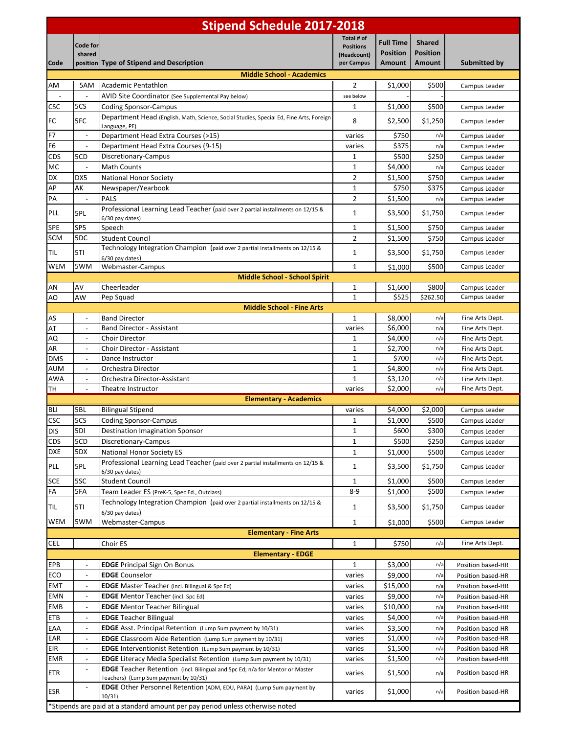| <b>Stipend Schedule 2017-2018</b> |                                                          |                                                                                                                              |                                                             |                                                      |                                                   |                                        |
|-----------------------------------|----------------------------------------------------------|------------------------------------------------------------------------------------------------------------------------------|-------------------------------------------------------------|------------------------------------------------------|---------------------------------------------------|----------------------------------------|
| Code                              | Code for<br>shared                                       | position Type of Stipend and Description                                                                                     | Total # of<br><b>Positions</b><br>(Headcount)<br>per Campus | <b>Full Time</b><br><b>Position</b><br><b>Amount</b> | <b>Shared</b><br><b>Position</b><br><b>Amount</b> | Submitted by                           |
|                                   |                                                          | <b>Middle School - Academics</b>                                                                                             |                                                             |                                                      |                                                   |                                        |
| AM                                | 5AM                                                      | Academic Pentathlon                                                                                                          | 2                                                           | \$1,000                                              | \$500                                             | Campus Leader                          |
|                                   | $\overline{a}$                                           | AVID Site Coordinator (See Supplemental Pay below)                                                                           | see below                                                   |                                                      |                                                   |                                        |
| <b>CSC</b>                        | 5CS                                                      | Coding Sponsor-Campus                                                                                                        | 1                                                           | \$1,000                                              | \$500                                             | Campus Leader                          |
| FC                                | 5FC                                                      | Department Head (English, Math, Science, Social Studies, Special Ed, Fine Arts, Foreign<br>Language, PE)                     | 8                                                           | \$2,500                                              | \$1,250                                           | Campus Leader                          |
| F7                                | $\mathbb{Z}$                                             | Department Head Extra Courses (>15)                                                                                          | varies                                                      | \$750                                                | n/a                                               | Campus Leader                          |
| F <sub>6</sub>                    | $\overline{\phantom{a}}$                                 | Department Head Extra Courses (9-15)                                                                                         | varies                                                      | \$375                                                | n/a                                               | Campus Leader                          |
| <b>CDS</b>                        | 5CD                                                      | Discretionary-Campus                                                                                                         | $\mathbf{1}$                                                | \$500                                                | \$250                                             | Campus Leader                          |
| МC                                | $\overline{\phantom{a}}$                                 | <b>Math Counts</b>                                                                                                           | 1                                                           | \$4,000                                              | n/a                                               | Campus Leader                          |
| DX                                | DX5                                                      | National Honor Society                                                                                                       | 2                                                           | \$1,500                                              | \$750                                             | Campus Leader                          |
| AP                                | АΚ                                                       | Newspaper/Yearbook                                                                                                           | $\mathbf{1}$                                                | \$750                                                | \$375                                             | Campus Leader                          |
| PA                                | $\blacksquare$                                           | PALS                                                                                                                         | $\overline{2}$                                              | \$1,500                                              | n/a                                               | Campus Leader                          |
| PLL                               | 5PL                                                      | Professional Learning Lead Teacher (paid over 2 partial installments on 12/15 &<br>6/30 pay dates)                           | 1                                                           | \$3,500                                              | \$1,750                                           | Campus Leader                          |
| SPE                               | SP <sub>5</sub>                                          | Speech                                                                                                                       | 1                                                           | \$1,500                                              | \$750                                             | Campus Leader                          |
| <b>SCM</b>                        | 5DC                                                      | <b>Student Council</b>                                                                                                       | $\overline{2}$                                              | \$1,500                                              | \$750                                             | Campus Leader                          |
| TIL                               | 5TI                                                      | Technology Integration Champion (paid over 2 partial installments on 12/15 &                                                 | $\mathbf{1}$                                                | \$3,500                                              | \$1,750                                           | Campus Leader                          |
| <b>WEM</b>                        | 5WM                                                      | 6/30 pay dates)                                                                                                              |                                                             |                                                      |                                                   |                                        |
|                                   |                                                          | Webmaster-Campus<br>Middle School - School Spirit                                                                            | 1                                                           | \$1,000                                              | \$500                                             | Campus Leader                          |
| AN                                | AV                                                       | Cheerleader                                                                                                                  | 1                                                           | \$1,600                                              | \$800                                             | Campus Leader                          |
| AO                                | AW                                                       | Pep Squad                                                                                                                    | $\mathbf{1}$                                                | \$525                                                | \$262.50                                          | Campus Leader                          |
|                                   |                                                          | <b>Middle School - Fine Arts</b>                                                                                             |                                                             |                                                      |                                                   |                                        |
| AS                                | $\overline{\phantom{a}}$                                 | <b>Band Director</b>                                                                                                         | 1                                                           | \$8,000                                              | n/a                                               | Fine Arts Dept.                        |
| AT                                | $\overline{\phantom{a}}$                                 | <b>Band Director - Assistant</b>                                                                                             | varies                                                      | \$6,000                                              | n/a                                               | Fine Arts Dept.                        |
| AQ                                | $\qquad \qquad \blacksquare$                             | Choir Director                                                                                                               | 1                                                           | \$4,000                                              | n/a                                               | Fine Arts Dept.                        |
| AR                                | $\overline{a}$                                           | Choir Director - Assistant                                                                                                   | 1                                                           | \$2,700                                              | n/a                                               | Fine Arts Dept.                        |
| <b>DMS</b>                        | $\overline{a}$                                           | Dance Instructor                                                                                                             | $\mathbf{1}$                                                | \$700                                                | n/a                                               | Fine Arts Dept.                        |
| AUM                               | $\overline{\phantom{a}}$                                 | Orchestra Director                                                                                                           | $\mathbf{1}$                                                | \$4,800                                              | n/a                                               | Fine Arts Dept.                        |
| <b>AWA</b>                        | $\overline{\phantom{a}}$                                 | Orchestra Director-Assistant                                                                                                 | $\mathbf{1}$                                                | \$3,120                                              | n/a                                               | Fine Arts Dept.                        |
| TH                                | $\overline{a}$                                           | Theatre Instructor<br><b>Elementary - Academics</b>                                                                          | varies                                                      | \$2,000                                              | n/a                                               | Fine Arts Dept.                        |
| <b>BLI</b>                        | 5BL                                                      | <b>Bilingual Stipend</b>                                                                                                     | varies                                                      | \$4,000                                              | \$2,000                                           | Campus Leader                          |
| <b>CSC</b>                        | 5CS                                                      | <b>Coding Sponsor-Campus</b>                                                                                                 | $\mathbf{1}$                                                | \$1,000                                              | \$500                                             | Campus Leader                          |
| <b>DIS</b>                        | 5DI                                                      | <b>Destination Imagination Sponsor</b>                                                                                       | $\mathbf 1$                                                 | \$600                                                | \$300                                             | Campus Leader                          |
| <b>CDS</b>                        | 5CD                                                      | Discretionary-Campus                                                                                                         | $\mathbf{1}$                                                | \$500                                                | \$250                                             | Campus Leader                          |
| <b>DXE</b>                        | 5DX                                                      | <b>National Honor Society ES</b>                                                                                             | $\mathbf{1}$                                                | \$1,000                                              | \$500                                             | Campus Leader                          |
|                                   |                                                          | Professional Learning Lead Teacher (paid over 2 partial installments on 12/15 &                                              |                                                             |                                                      |                                                   |                                        |
| PLL                               | 5PL                                                      | 6/30 pay dates)                                                                                                              | $\mathbf{1}$                                                | \$3,500                                              | \$1,750                                           | Campus Leader                          |
| <b>SCE</b>                        | 5SC                                                      | <b>Student Council</b>                                                                                                       | $\mathbf{1}$                                                | \$1,000                                              | \$500                                             | Campus Leader                          |
| FA                                | 5FA                                                      | Team Leader ES (PreK-5, Spec Ed., Outclass)                                                                                  | $8-9$                                                       | \$1,000                                              | \$500                                             | Campus Leader                          |
| TIL                               | 5TI                                                      | Technology Integration Champion (paid over 2 partial installments on 12/15 &<br>6/30 pay dates)                              | 1                                                           | \$3,500                                              | \$1,750                                           | Campus Leader                          |
| <b>WEM</b>                        | 5WM                                                      | Webmaster-Campus                                                                                                             | $\mathbf{1}$                                                | \$1,000                                              | \$500                                             | Campus Leader                          |
|                                   |                                                          | <b>Elementary - Fine Arts</b>                                                                                                |                                                             |                                                      |                                                   |                                        |
| <b>CEL</b>                        |                                                          | Choir ES                                                                                                                     | $\mathbf{1}$                                                | \$750                                                | n/a                                               | Fine Arts Dept.                        |
|                                   |                                                          | <b>Elementary - EDGE</b>                                                                                                     |                                                             |                                                      |                                                   |                                        |
| EPB                               | $\overline{a}$                                           | <b>EDGE</b> Principal Sign On Bonus                                                                                          | 1                                                           | \$3,000                                              | n/a                                               | Position based-HR                      |
| ECO                               |                                                          | <b>EDGE</b> Counselor                                                                                                        | varies                                                      | \$9,000                                              | n/a                                               | Position based-HR                      |
| <b>EMT</b>                        | $\overline{\phantom{a}}$                                 | <b>EDGE</b> Master Teacher (incl. Bilingual & Spc Ed)                                                                        | varies                                                      | \$15,000                                             | n/a                                               | Position based-HR                      |
| <b>EMN</b>                        | $\overline{\phantom{a}}$                                 | <b>EDGE</b> Mentor Teacher (incl. Spc Ed)                                                                                    | varies                                                      | \$9,000                                              | n/a                                               | Position based-HR                      |
| EMB<br><b>ETB</b>                 | $\overline{\phantom{a}}$<br>$\overline{\phantom{a}}$     | <b>EDGE</b> Mentor Teacher Bilingual<br><b>EDGE</b> Teacher Bilingual                                                        | varies                                                      | \$10,000<br>\$4,000                                  | n/a<br>n/a                                        | Position based-HR                      |
|                                   |                                                          | <b>EDGE</b> Asst. Principal Retention (Lump Sum payment by 10/31)                                                            | varies                                                      |                                                      |                                                   | Position based-HR                      |
| EAA<br>EAR                        | $\qquad \qquad \blacksquare$                             | <b>EDGE</b> Classroom Aide Retention (Lump Sum payment by 10/31)                                                             | varies<br>varies                                            | \$3,500<br>\$1,000                                   | n/a<br>n/a                                        | Position based-HR<br>Position based-HR |
| EIR                               | $\qquad \qquad \blacksquare$<br>$\overline{\phantom{a}}$ | <b>EDGE</b> Interventionist Retention (Lump Sum payment by 10/31)                                                            | varies                                                      | \$1,500                                              | n/a                                               | Position based-HR                      |
| EMR                               | $\overline{\phantom{a}}$                                 | EDGE Literacy Media Specialist Retention (Lump Sum payment by 10/31)                                                         | varies                                                      | \$1,500                                              | n/a                                               | Position based-HR                      |
| ETR                               | $\overline{\phantom{a}}$                                 | <b>EDGE</b> Teacher Retention (incl. Bilingual and Spc Ed; n/a for Mentor or Master<br>Teachers) (Lump Sum payment by 10/31) | varies                                                      | \$1,500                                              | n/a                                               | Position based-HR                      |
| ESR                               | $\overline{a}$                                           | EDGE Other Personnel Retention (ADM, EDU, PARA) (Lump Sum payment by                                                         | varies                                                      | \$1,000                                              | n/a                                               | Position based-HR                      |
|                                   |                                                          | 10/31)<br>*Stipends are paid at a standard amount per pay period unless otherwise noted                                      |                                                             |                                                      |                                                   |                                        |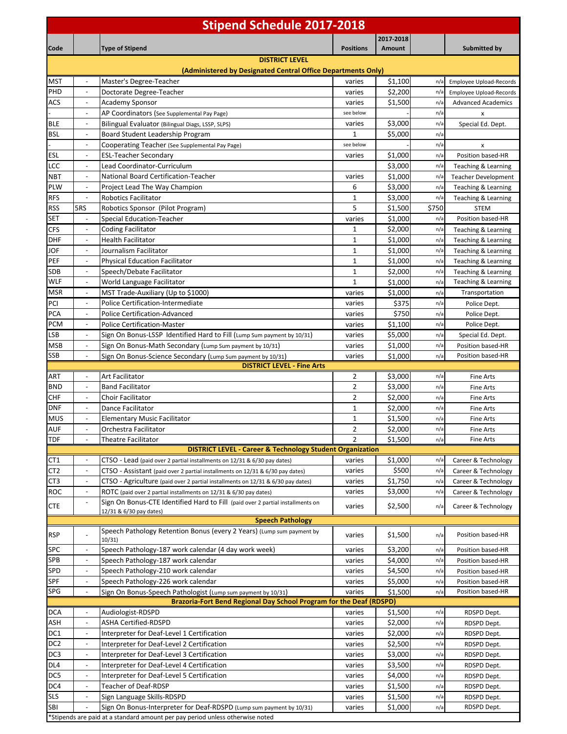|                                                                      |                                                      | <b>Stipend Schedule 2017-2018</b>                                                                         |                         |                     |            |                                            |
|----------------------------------------------------------------------|------------------------------------------------------|-----------------------------------------------------------------------------------------------------------|-------------------------|---------------------|------------|--------------------------------------------|
|                                                                      |                                                      |                                                                                                           | <b>Positions</b>        | 2017-2018           |            |                                            |
| Code                                                                 |                                                      | <b>Type of Stipend</b><br><b>DISTRICT LEVEL</b>                                                           |                         | Amount              |            | Submitted by                               |
|                                                                      |                                                      | (Administered by Designated Central Office Departments Only)                                              |                         |                     |            |                                            |
| MST                                                                  | $\overline{\phantom{a}}$                             | Master's Degree-Teacher                                                                                   | varies                  | \$1,100             | n/a        | Employee Upload-Records                    |
| PHD                                                                  | $\overline{\phantom{a}}$                             | Doctorate Degree-Teacher                                                                                  | varies                  | \$2,200             | n/a        | Employee Upload-Records                    |
| ACS                                                                  |                                                      | Academy Sponsor                                                                                           | varies                  | \$1,500             | n/a        | <b>Advanced Academics</b>                  |
|                                                                      | $\overline{\phantom{a}}$                             | AP Coordinators (See Supplemental Pay Page)                                                               | see below               |                     | n/a        | $\pmb{\times}$                             |
| BLE<br><b>BSL</b>                                                    | $\overline{\phantom{a}}$<br>$\overline{\phantom{a}}$ | Bilingual Evaluator (Bilingual Diags, LSSP, SLPS)<br>Board Student Leadership Program                     | varies<br>1             | \$3,000<br>\$5,000  | n/a<br>n/a | Special Ed. Dept.                          |
|                                                                      | $\overline{\phantom{a}}$                             | Cooperating Teacher (See Supplemental Pay Page)                                                           | see below               |                     | n/a        | x                                          |
| ESL                                                                  | $\overline{a}$                                       | <b>ESL-Teacher Secondary</b>                                                                              | varies                  | \$1,000             | n/a        | Position based-HR                          |
| LCC                                                                  | $\overline{\phantom{a}}$                             | Lead Coordinator-Curriculum                                                                               |                         | \$3,000             | n/a        | Teaching & Learning                        |
| NBT                                                                  | $\overline{\phantom{a}}$                             | National Board Certification-Teacher                                                                      | varies                  | \$1,000             | n/a        | <b>Teacher Development</b>                 |
| PLW                                                                  | $\overline{\phantom{a}}$                             | Project Lead The Way Champion                                                                             | 6                       | \$3,000             | n/a        | Teaching & Learning                        |
| <b>RFS</b>                                                           | $\blacksquare$                                       | <b>Robotics Facilitator</b>                                                                               | 1                       | \$3,000             | n/a        | Teaching & Learning                        |
| RSS                                                                  | 5RS                                                  | Robotics Sponsor (Pilot Program)                                                                          | 5                       | \$1,500             | \$750      | <b>STEM</b>                                |
| SET                                                                  |                                                      | Special Education-Teacher                                                                                 | varies                  | \$1,000             | n/a        | Position based-HR                          |
| CFS                                                                  | $\overline{\phantom{a}}$                             | <b>Coding Facilitator</b>                                                                                 | 1                       | \$2,000             | n/a        | Teaching & Learning                        |
| DHF                                                                  | $\overline{\phantom{a}}$<br>$\overline{\phantom{a}}$ | <b>Health Facilitator</b>                                                                                 | 1                       | \$1,000             | n/a        | Teaching & Learning                        |
| JOF<br>PEF                                                           | $\overline{\phantom{a}}$                             | Journalism Facilitator                                                                                    | 1<br>1                  | \$1,000<br>\$1,000  | n/a<br>n/a | Teaching & Learning                        |
| SDB                                                                  | $\overline{\phantom{a}}$                             | <b>Physical Education Facilitator</b><br>Speech/Debate Facilitator                                        | 1                       | \$2,000             | n/a        | Teaching & Learning<br>Teaching & Learning |
| <b>WLF</b>                                                           | $\overline{\phantom{a}}$                             | World Language Facilitator                                                                                | 1                       | \$1,000             | n/a        | Teaching & Learning                        |
| <b>MSR</b>                                                           | $\overline{\phantom{a}}$                             | MST Trade-Auxiliary (Up to \$1000)                                                                        | varies                  | \$1,000             | n/a        | Transportation                             |
| PCI                                                                  | $\overline{\phantom{a}}$                             | Police Certification-Intermediate                                                                         | varies                  | \$375               | n/a        | Police Dept.                               |
| PCA                                                                  |                                                      | <b>Police Certification-Advanced</b>                                                                      | varies                  | \$750               | n/a        | Police Dept.                               |
| PCM                                                                  | $\overline{\phantom{a}}$                             | <b>Police Certification-Master</b>                                                                        | varies                  | \$1,100             | n/a        | Police Dept.                               |
| LSB                                                                  |                                                      | Sign On Bonus-LSSP Identified Hard to Fill (Lump Sum payment by 10/31)                                    | varies                  | \$5,000             | n/a        | Special Ed. Dept.                          |
| MSB                                                                  | $\overline{\phantom{a}}$                             | Sign On Bonus-Math Secondary (Lump Sum payment by 10/31)                                                  | varies                  | \$1,000             | n/a        | Position based-HR                          |
| SSB                                                                  | $\overline{\phantom{a}}$                             | Sign On Bonus-Science Secondary (Lump Sum payment by 10/31)                                               | varies                  | \$1,000             | n/a        | Position based-HR                          |
| ART                                                                  | $\overline{\phantom{a}}$                             | <b>DISTRICT LEVEL - Fine Arts</b><br>Art Facilitator                                                      | 2                       | \$3,000             | n/a        | <b>Fine Arts</b>                           |
| <b>BND</b>                                                           | $\overline{\phantom{a}}$                             | <b>Band Facilitator</b>                                                                                   | $\overline{2}$          | \$3,000             | n/a        | <b>Fine Arts</b>                           |
| CHF                                                                  |                                                      | Choir Facilitator                                                                                         | 2                       | \$2,000             | n/a        | Fine Arts                                  |
| dnf                                                                  |                                                      | Dance Facilitator                                                                                         | 1                       | \$2,000             | n/a        | Fine Arts                                  |
| MUS                                                                  | $\blacksquare$                                       | <b>Elementary Music Facilitator</b>                                                                       | $\mathbf{1}$            | \$1,500             | n/a        | Fine Arts                                  |
| AUF                                                                  |                                                      | Orchestra Facilitator                                                                                     | $\overline{\mathbf{c}}$ | \$2,000             | n/a        | Fine Arts                                  |
| TDF                                                                  |                                                      |                                                                                                           |                         |                     | n/a        | Fine Arts                                  |
| <b>DISTRICT LEVEL - Career &amp; Technology Student Organization</b> |                                                      |                                                                                                           |                         |                     |            |                                            |
|                                                                      |                                                      | Theatre Facilitator                                                                                       | $\overline{2}$          | \$1,500             |            |                                            |
| CT1                                                                  | $\overline{\phantom{a}}$                             | CTSO - Lead (paid over 2 partial installments on 12/31 & 6/30 pay dates)                                  | varies                  | $\overline{$}1,000$ | n/a        | Career & Technology                        |
| CT2                                                                  | $\overline{\phantom{a}}$                             | CTSO - Assistant (paid over 2 partial installments on 12/31 & 6/30 pay dates)                             | varies                  | \$500               | n/a        | Career & Technology                        |
| CT3                                                                  | $\overline{\phantom{a}}$                             | CTSO - Agriculture (paid over 2 partial installments on 12/31 & 6/30 pay dates)                           | varies                  | \$1,750             | n/a        | Career & Technology                        |
| ROC                                                                  | $\overline{\phantom{a}}$<br>$\overline{\phantom{a}}$ | ROTC (paid over 2 partial installments on 12/31 & 6/30 pay dates)                                         | varies                  | \$3,000             | n/a        | Career & Technology                        |
| <b>CTE</b>                                                           |                                                      | Sign On Bonus-CTE Identified Hard to Fill (paid over 2 partial installments on<br>12/31 & 6/30 pay dates) | varies                  | \$2,500             | n/a        | Career & Technology                        |
|                                                                      |                                                      | <b>Speech Pathology</b>                                                                                   |                         |                     |            |                                            |
| <b>RSP</b>                                                           | $\overline{a}$                                       | Speech Pathology Retention Bonus (every 2 Years) (Lump sum payment by                                     | varies                  | \$1,500             | n/a        | Position based-HR                          |
|                                                                      |                                                      | 10/31)                                                                                                    |                         |                     |            |                                            |
| SPC                                                                  | $\overline{\phantom{a}}$<br>$\overline{\phantom{a}}$ | Speech Pathology-187 work calendar (4 day work week)                                                      | varies                  | \$3,200             | n/a        | Position based-HR                          |
| SPB<br>SPD                                                           | $\overline{\phantom{a}}$                             | Speech Pathology-187 work calendar                                                                        | varies                  | \$4,000             | n/a<br>n/a | Position based-HR                          |
| SPF                                                                  | $\overline{\phantom{a}}$                             | Speech Pathology-210 work calendar<br>Speech Pathology-226 work calendar                                  | varies<br>varies        | \$4,500<br>\$5,000  | n/a        | Position based-HR<br>Position based-HR     |
| SPG                                                                  | $\overline{\phantom{a}}$                             | Sign On Bonus-Speech Pathologist (Lump sum payment by 10/31)                                              | varies                  | \$1,500             | n/a        | Position based-HR                          |
|                                                                      |                                                      | Brazoria-Fort Bend Regional Day School Program for the Deaf (RDSPD)                                       |                         |                     |            |                                            |
| DCA                                                                  |                                                      | Audiologist-RDSPD                                                                                         | varies                  | \$1,500             | n/a        | RDSPD Dept.                                |
| ASH                                                                  | $\overline{\phantom{a}}$                             | <b>ASHA Certified-RDSPD</b>                                                                               | varies                  | \$2,000             | n/a        | RDSPD Dept.                                |
| DC1                                                                  | $\overline{\phantom{a}}$                             | Interpreter for Deaf-Level 1 Certification                                                                | varies                  | \$2,000             | n/a        | RDSPD Dept.                                |
| DC <sub>2</sub>                                                      | $\overline{\phantom{a}}$                             | Interpreter for Deaf-Level 2 Certification                                                                | varies                  | \$2,500             | n/a        | RDSPD Dept.                                |
| DC3                                                                  | $\overline{\phantom{a}}$                             | Interpreter for Deaf-Level 3 Certification                                                                | varies                  | \$3,000             | n/a        | RDSPD Dept.                                |
| DL4                                                                  | $\overline{\phantom{a}}$                             | Interpreter for Deaf-Level 4 Certification                                                                | varies                  | \$3,500             | n/a        | RDSPD Dept.                                |
| DC5                                                                  | $\overline{\phantom{a}}$<br>$\overline{\phantom{a}}$ | Interpreter for Deaf-Level 5 Certification                                                                | varies                  | \$4,000             | n/a        | RDSPD Dept.                                |
| DC4                                                                  | $\overline{\phantom{a}}$                             | Teacher of Deaf-RDSP                                                                                      | varies                  | \$1,500             | n/a        | RDSPD Dept.                                |
| <b>SLS</b><br>SBI                                                    |                                                      | Sign Language Skills-RDSPD<br>Sign On Bonus-Interpreter for Deaf-RDSPD (Lump sum payment by 10/31)        | varies<br>varies        | \$1,500<br>\$1,000  | n/a<br>n/a | RDSPD Dept.<br>RDSPD Dept.                 |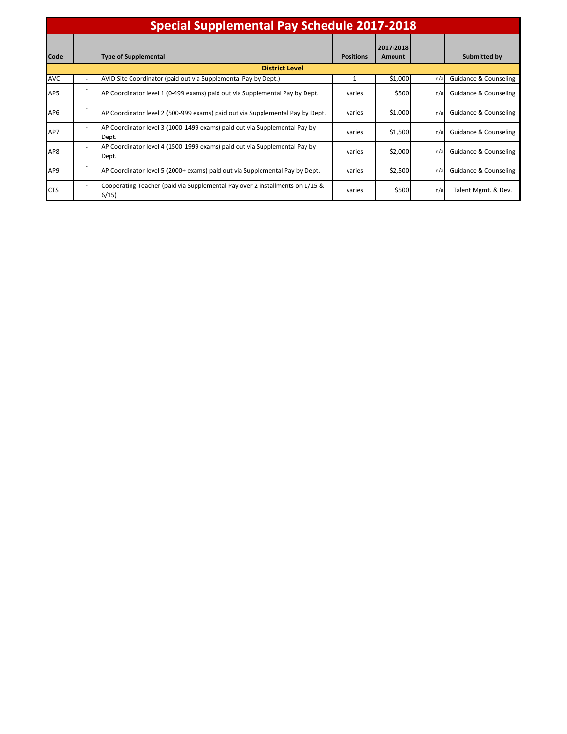| <b>Special Supplemental Pay Schedule 2017-2018</b> |                              |                                                                                      |                  |                     |     |                                  |  |
|----------------------------------------------------|------------------------------|--------------------------------------------------------------------------------------|------------------|---------------------|-----|----------------------------------|--|
| <b>Code</b>                                        |                              | <b>Type of Supplemental</b>                                                          | <b>Positions</b> | 2017-2018<br>Amount |     | Submitted by                     |  |
|                                                    | <b>District Level</b>        |                                                                                      |                  |                     |     |                                  |  |
| <b>AVC</b>                                         |                              | AVID Site Coordinator (paid out via Supplemental Pay by Dept.)                       |                  | \$1,000             | n/a | <b>Guidance &amp; Counseling</b> |  |
| AP5                                                |                              | AP Coordinator level 1 (0-499 exams) paid out via Supplemental Pay by Dept.          | varies           | \$500               | n/a | Guidance & Counseling            |  |
| AP <sub>6</sub>                                    |                              | AP Coordinator level 2 (500-999 exams) paid out via Supplemental Pay by Dept.        | varies           | \$1,000             | n/a | Guidance & Counseling            |  |
| AP7                                                | ٠                            | AP Coordinator level 3 (1000-1499 exams) paid out via Supplemental Pay by<br>Dept.   | varies           | \$1,500             | n/a | Guidance & Counseling            |  |
| AP8                                                | ۰                            | AP Coordinator level 4 (1500-1999 exams) paid out via Supplemental Pay by<br>Dept.   | varies           | \$2,000             | n/a | <b>Guidance &amp; Counseling</b> |  |
| AP <sub>9</sub>                                    |                              | AP Coordinator level 5 (2000+ exams) paid out via Supplemental Pay by Dept.          | varies           | \$2,500             | n/a | <b>Guidance &amp; Counseling</b> |  |
| <b>CTS</b>                                         | $\qquad \qquad \blacksquare$ | Cooperating Teacher (paid via Supplemental Pay over 2 installments on 1/15 &<br>6/15 | varies           | \$500               | n/a | Talent Mgmt. & Dev.              |  |